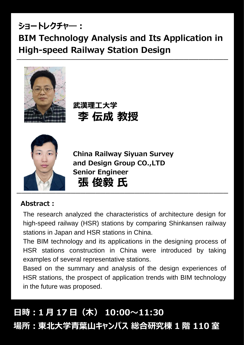## **ショートレクチャ―: BIM Technology Analysis and Its Application in High-speed Railway Station Design**

**―――――――――――――――――――――――――――――――――――――――――――**



**武漢理工大学 李 伝成 教授**



**China Railway Siyuan Survey and Design Group CO.,LTD Senior Engineer 張 俊毅 氏**

## **Abstract:**

The research analyzed the characteristics of architecture design for high-speed railway (HSR) stations by comparing Shinkansen railway stations in Japan and HSR stations in China.

The BIM technology and its applications in the designing process of HSR stations construction in China were introduced by taking examples of several representative stations.

Based on the summary and analysis of the design experiences of HSR stations, the prospect of application trends with BIM technology in the future was proposed.

# **日時:1 月 17 日(木) 10:00~11:30 場所:東北大学青葉山キャンパス 総合研究棟 1 階 110 室**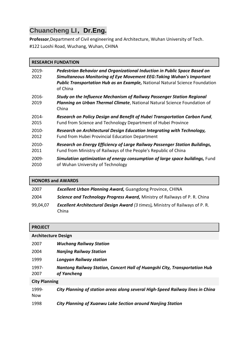### **Chuancheng LI,Dr.Eng.**

**Professor**,Department of Civil engineering and Architecture, Wuhan University of Tech. #122 Luoshi Road, Wuchang, Wuhan, CHINA

### **RESEARCH FUNDATION**

| 2019-<br>2022    | Pedestrian Behavior and Organizational Induction in Public Space Based on<br><b>Simultaneous Monitoring of Eye Movement EEG: Taking Wuhan's Important</b><br><b>Public Transportation Hub as an Example, National Natural Science Foundation</b><br>of China |
|------------------|--------------------------------------------------------------------------------------------------------------------------------------------------------------------------------------------------------------------------------------------------------------|
| $2016 -$<br>2019 | <b>Study on the Influence Mechanism of Railway Passenger Station Regional</b><br>Planning on Urban Thermal Climate, National Natural Science Foundation of<br>China                                                                                          |
| 2014-            | Research on Policy Design and Benefit of Hubei Transportation Carbon Fund,                                                                                                                                                                                   |
| 2015             | Fund from Science and Technology Department of Hubei Province                                                                                                                                                                                                |
| $2010 -$         | Research on Architectural Design Education Integrating with Technology,                                                                                                                                                                                      |
| 2012             | <b>Fund from Hubei Provincial Education Department</b>                                                                                                                                                                                                       |
| $2010 -$         | Research on Energy Efficiency of Large Railway Passenger Station Buildings,                                                                                                                                                                                  |
| 2011             | Fund from Ministry of Railways of the People's Republic of China                                                                                                                                                                                             |
| 2009-            | Simulation optimization of energy consumption of large space buildings, Fund                                                                                                                                                                                 |
| 2010             | of Wuhan University of Technology                                                                                                                                                                                                                            |

| <b>HONORS and AWARDS</b> |                                                                                               |  |
|--------------------------|-----------------------------------------------------------------------------------------------|--|
| 2007                     | <b>Excellent Urban Planning Award, Guangdong Province, CHINA</b>                              |  |
| 2004                     | Science and Technology Progress Award, Ministry of Railways of P. R. China                    |  |
| 99,04,07                 | <b>Excellent Architectural Design Award (3 times), Ministry of Railways of P. R.</b><br>China |  |

| <b>PROJECT</b>             |                                                                                           |  |
|----------------------------|-------------------------------------------------------------------------------------------|--|
| <b>Architecture Design</b> |                                                                                           |  |
| 2007                       | <b>Wuchang Railway Station</b>                                                            |  |
| 2004                       | <b>Nanjing Railway Station</b>                                                            |  |
| 1999                       | <b>Longyan Railway station</b>                                                            |  |
| 1997-<br>2007              | Nantong Railway Station, Concert Hall of Huangshi City, Transportation Hub<br>of Yancheng |  |
| <b>City Planning</b>       |                                                                                           |  |
| 1999-<br>Now               | City Planning of station areas along several High-Speed Railway lines in China            |  |
| 1998                       | City Planning of Xuanwu Lake Section around Nanjing Station                               |  |